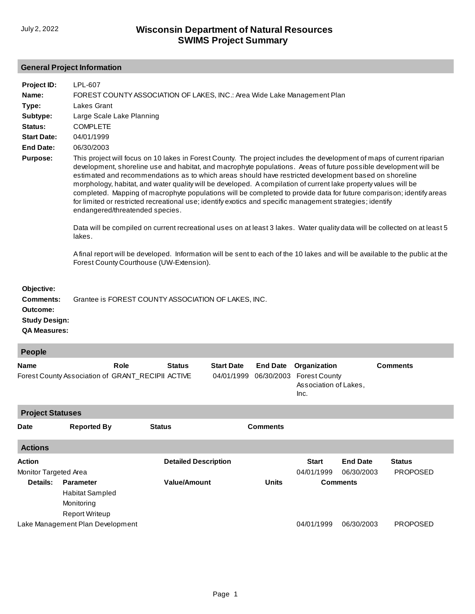# **General Project Information**

| Project ID:<br>Name:                                                               | LPL-607<br>FOREST COUNTY ASSOCIATION OF LAKES, INC.: Area Wide Lake Management Plan                                                                                                                                                                                                                                                                                                                                                                                                                                                                                                                                                                                                                                                            |
|------------------------------------------------------------------------------------|------------------------------------------------------------------------------------------------------------------------------------------------------------------------------------------------------------------------------------------------------------------------------------------------------------------------------------------------------------------------------------------------------------------------------------------------------------------------------------------------------------------------------------------------------------------------------------------------------------------------------------------------------------------------------------------------------------------------------------------------|
| Type:                                                                              | Lakes Grant                                                                                                                                                                                                                                                                                                                                                                                                                                                                                                                                                                                                                                                                                                                                    |
| Subtype:                                                                           | Large Scale Lake Planning                                                                                                                                                                                                                                                                                                                                                                                                                                                                                                                                                                                                                                                                                                                      |
| Status:                                                                            | <b>COMPLETE</b>                                                                                                                                                                                                                                                                                                                                                                                                                                                                                                                                                                                                                                                                                                                                |
| <b>Start Date:</b>                                                                 | 04/01/1999                                                                                                                                                                                                                                                                                                                                                                                                                                                                                                                                                                                                                                                                                                                                     |
| End Date:                                                                          | 06/30/2003                                                                                                                                                                                                                                                                                                                                                                                                                                                                                                                                                                                                                                                                                                                                     |
| <b>Purpose:</b>                                                                    | This project will focus on 10 lakes in Forest County. The project includes the development of maps of current riparian<br>development, shoreline use and habitat, and macrophyte populations. Areas of future possible development will be<br>estimated and recommendations as to which areas should have restricted development based on shoreline<br>morphology, habitat, and water quality will be developed. A compilation of current lake property values will be<br>completed. Mapping of macrophyte populations will be completed to provide data for future comparison; identify areas<br>for limited or restricted recreational use; identify exotics and specific management strategies; identify<br>endangered/threatended species. |
|                                                                                    | Data will be compiled on current recreational uses on at least 3 lakes. Water quality data will be collected on at least 5<br>lakes.                                                                                                                                                                                                                                                                                                                                                                                                                                                                                                                                                                                                           |
|                                                                                    | A final report will be developed. Information will be sent to each of the 10 lakes and will be available to the public at the<br>Forest County Courthouse (UW-Extension).                                                                                                                                                                                                                                                                                                                                                                                                                                                                                                                                                                      |
| Objective:<br>Comments:<br>Outcome:<br><b>Study Design:</b><br><b>QA Measures:</b> | Grantee is FOREST COUNTY ASSOCIATION OF LAKES, INC.                                                                                                                                                                                                                                                                                                                                                                                                                                                                                                                                                                                                                                                                                            |

| People                                 |                                                                            |               |                             |                                 |                               |                                                                       |                               |                                  |  |
|----------------------------------------|----------------------------------------------------------------------------|---------------|-----------------------------|---------------------------------|-------------------------------|-----------------------------------------------------------------------|-------------------------------|----------------------------------|--|
| Name                                   | Forest County Association of GRANT_RECIPII ACTIVE                          | Role          | <b>Status</b>               | <b>Start Date</b><br>04/01/1999 | <b>End Date</b><br>06/30/2003 | Organization<br><b>Forest County</b><br>Association of Lakes,<br>Inc. |                               | <b>Comments</b>                  |  |
| <b>Project Statuses</b>                |                                                                            |               |                             |                                 |                               |                                                                       |                               |                                  |  |
| <b>Date</b>                            | <b>Reported By</b>                                                         | <b>Status</b> |                             |                                 | <b>Comments</b>               |                                                                       |                               |                                  |  |
| <b>Actions</b>                         |                                                                            |               |                             |                                 |                               |                                                                       |                               |                                  |  |
| <b>Action</b><br>Monitor Targeted Area |                                                                            |               | <b>Detailed Description</b> |                                 |                               | <b>Start</b><br>04/01/1999                                            | <b>End Date</b><br>06/30/2003 | <b>Status</b><br><b>PROPOSED</b> |  |
| Details:                               | <b>Parameter</b><br>Habitat Sampled<br>Monitoring<br><b>Report Writeup</b> |               | <b>Value/Amount</b>         |                                 | <b>Units</b>                  |                                                                       | <b>Comments</b>               |                                  |  |
|                                        | Lake Management Plan Development                                           |               |                             |                                 |                               | 04/01/1999                                                            | 06/30/2003                    | <b>PROPOSED</b>                  |  |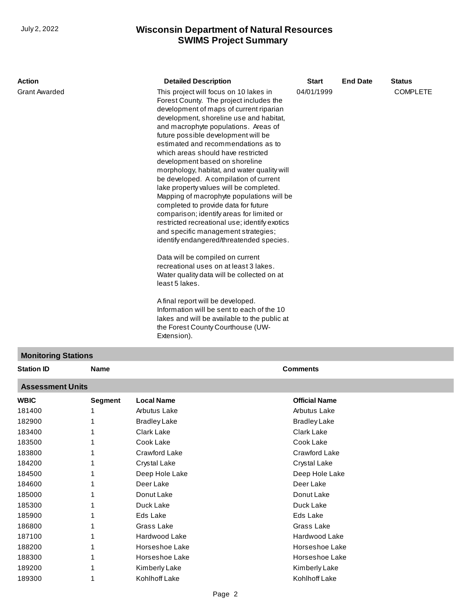| <b>Action</b>              |             | <b>Detailed Description</b>                                                                                                                                                                                                                                                                                                                                                                                                                                                                                                                                                                                                                                                                                                                                                                                                                                                                                                                                                                                                                                                                                          | <b>Start</b>    | <b>End Date</b> | <b>Status</b>   |
|----------------------------|-------------|----------------------------------------------------------------------------------------------------------------------------------------------------------------------------------------------------------------------------------------------------------------------------------------------------------------------------------------------------------------------------------------------------------------------------------------------------------------------------------------------------------------------------------------------------------------------------------------------------------------------------------------------------------------------------------------------------------------------------------------------------------------------------------------------------------------------------------------------------------------------------------------------------------------------------------------------------------------------------------------------------------------------------------------------------------------------------------------------------------------------|-----------------|-----------------|-----------------|
| <b>Grant Awarded</b>       |             | This project will focus on 10 lakes in<br>Forest County. The project includes the<br>development of maps of current riparian<br>development, shoreline use and habitat,<br>and macrophyte populations. Areas of<br>future possible development will be<br>estimated and recommendations as to<br>which areas should have restricted<br>development based on shoreline<br>morphology, habitat, and water quality will<br>be developed. A compilation of current<br>lake property values will be completed.<br>Mapping of macrophyte populations will be<br>completed to provide data for future<br>comparison; identify areas for limited or<br>restricted recreational use; identify exotics<br>and specific management strategies;<br>identify endangered/threatended species.<br>Data will be compiled on current<br>recreational uses on at least 3 lakes.<br>Water quality data will be collected on at<br>least 5 lakes.<br>A final report will be developed.<br>Information will be sent to each of the 10<br>lakes and will be available to the public at<br>the Forest County Courthouse (UW-<br>Extension). | 04/01/1999      |                 | <b>COMPLETE</b> |
| <b>Monitoring Stations</b> |             |                                                                                                                                                                                                                                                                                                                                                                                                                                                                                                                                                                                                                                                                                                                                                                                                                                                                                                                                                                                                                                                                                                                      |                 |                 |                 |
| <b>Station ID</b>          | <b>Name</b> |                                                                                                                                                                                                                                                                                                                                                                                                                                                                                                                                                                                                                                                                                                                                                                                                                                                                                                                                                                                                                                                                                                                      | <b>Comments</b> |                 |                 |

# **Assessment Units**

| AJJGJJIIIGIIL UIIILJ |                |                     |                      |
|----------------------|----------------|---------------------|----------------------|
| WBIC                 | <b>Segment</b> | <b>Local Name</b>   | <b>Official Name</b> |
| 181400               |                | Arbutus Lake        | Arbutus Lake         |
| 182900               |                | <b>Bradley Lake</b> | <b>Bradley Lake</b>  |
| 183400               |                | Clark Lake          | Clark Lake           |
| 183500               |                | Cook Lake           | Cook Lake            |
| 183800               |                | Crawford Lake       | Crawford Lake        |
| 184200               |                | Crystal Lake        | Crystal Lake         |
| 184500               |                | Deep Hole Lake      | Deep Hole Lake       |
| 184600               |                | Deer Lake           | Deer Lake            |
| 185000               |                | Donut Lake          | Donut Lake           |
| 185300               |                | Duck Lake           | Duck Lake            |
| 185900               |                | Eds Lake            | Eds Lake             |
| 186800               |                | Grass Lake          | Grass Lake           |
| 187100               |                | Hardwood Lake       | Hardwood Lake        |
| 188200               |                | Horseshoe Lake      | Horseshoe Lake       |
| 188300               |                | Horseshoe Lake      | Horseshoe Lake       |
| 189200               |                | Kimberly Lake       | Kimberly Lake        |
| 189300               |                | Kohlhoff Lake       | Kohlhoff Lake        |
|                      |                |                     |                      |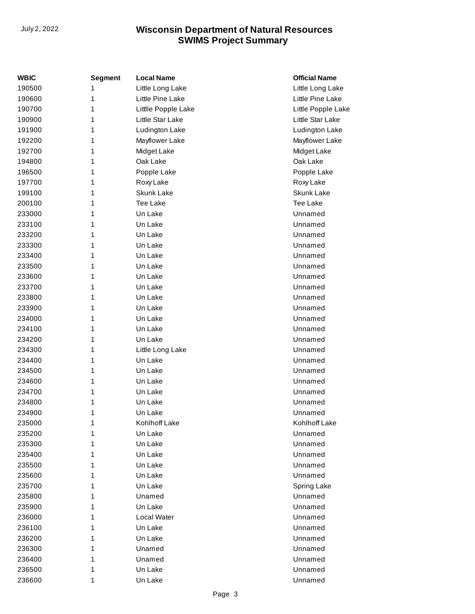| WBIC   | Segment | <b>Local Name</b>   | <b>Official Name</b> |
|--------|---------|---------------------|----------------------|
| 190500 | 1       | Little Long Lake    | Little Long Lake     |
| 190600 | 1       | Little Pine Lake    | Little Pine Lake     |
| 190700 | 1       | Littlle Popple Lake | Little Popple Lake   |
| 190900 | 1       | Little Star Lake    | Little Star Lake     |
| 191900 | 1       | Ludington Lake      | Ludington Lake       |
| 192200 | 1       | Mayflower Lake      | Mayflower Lake       |
| 192700 | 1       | Midget Lake         | Midget Lake          |
| 194800 | 1       | Oak Lake            | Oak Lake             |
| 196500 | 1       | Popple Lake         | Popple Lake          |
| 197700 | 1       | Roxy Lake           | Roxy Lake            |
| 199100 | 1       | <b>Skunk Lake</b>   | Skunk Lake           |
| 200100 | 1       | Tee Lake            | Tee Lake             |
| 233000 | 1       | Un Lake             | Unnamed              |
| 233100 | 1       | Un Lake             | Unnamed              |
| 233200 | 1       | Un Lake             | Unnamed              |
| 233300 | 1       | Un Lake             | Unnamed              |
| 233400 | 1       | Un Lake             | Unnamed              |
| 233500 | 1       | Un Lake             | Unnamed              |
| 233600 | 1       | Un Lake             | Unnamed              |
| 233700 | 1       | Un Lake             | Unnamed              |
| 233800 | 1       | Un Lake             | Unnamed              |
| 233900 | 1       | Un Lake             | Unnamed              |
| 234000 | 1       | Un Lake             | Unnamed              |
| 234100 | 1       | Un Lake             | Unnamed              |
| 234200 | 1       | Un Lake             | Unnamed              |
| 234300 | 1       | Little Long Lake    | Unnamed              |
| 234400 | 1       | Un Lake             | Unnamed              |
| 234500 | 1       | Un Lake             | Unnamed              |
| 234600 | 1       | Un Lake             | Unnamed              |
| 234700 | 1       | Un Lake             | Unnamed              |
| 234800 | 1       | Un Lake             | Unnamed              |
| 234900 | 1       | Un Lake             | Unnamed              |
| 235000 | 1       | Kohlhoff Lake       | Kohlhoff Lake        |
| 235200 | 1       | Un Lake             | Unnamed              |
| 235300 | 1       | Un Lake             | Unnamed              |
| 235400 | 1       | Un Lake             | Unnamed              |
| 235500 | 1       | Un Lake             | Unnamed              |
| 235600 | 1       | Un Lake             | Unnamed              |
| 235700 | 1       | Un Lake             | <b>Spring Lake</b>   |
| 235800 | 1       | Unamed              | Unnamed              |
| 235900 | 1       | Un Lake             | Unnamed              |
| 236000 | 1       | Local Water         | Unnamed              |
| 236100 | 1       | Un Lake             | Unnamed              |
| 236200 | 1       | Un Lake             | Unnamed              |
| 236300 | 1       | Unamed              | Unnamed              |
| 236400 | 1       | Unamed              | Unnamed              |
| 236500 | 1       | Un Lake             | Unnamed              |
| 236600 | 1       | Un Lake             | Unnamed              |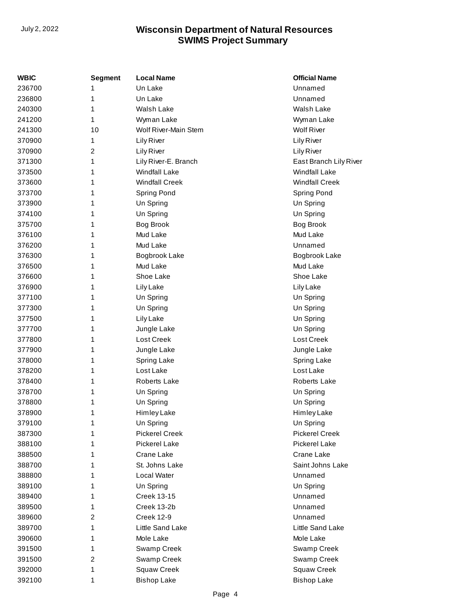| <b>WBIC</b> | <b>Segment</b> | <b>Local Name</b>     | <b>Official Name</b>   |
|-------------|----------------|-----------------------|------------------------|
| 236700      | 1              | Un Lake               | Unnamed                |
| 236800      | 1              | Un Lake               | Unnamed                |
| 240300      | 1              | Walsh Lake            | Walsh Lake             |
| 241200      | 1              | Wyman Lake            | Wyman Lake             |
| 241300      | 10             | Wolf River-Main Stem  | <b>Wolf River</b>      |
| 370900      | 1              | <b>Lily River</b>     | <b>Lily River</b>      |
| 370900      | 2              | <b>Lily River</b>     | <b>Lily River</b>      |
| 371300      | 1              | Lily River-E. Branch  | East Branch Lily River |
| 373500      | 1              | <b>Windfall Lake</b>  | <b>Windfall Lake</b>   |
| 373600      | 1              | <b>Windfall Creek</b> | <b>Windfall Creek</b>  |
| 373700      | 1              | Spring Pond           | Spring Pond            |
| 373900      | 1              | Un Spring             | Un Spring              |
| 374100      | 1              | Un Spring             | Un Spring              |
| 375700      | 1              | <b>Bog Brook</b>      | <b>Bog Brook</b>       |
| 376100      | 1              | Mud Lake              | Mud Lake               |
| 376200      | 1              | Mud Lake              | Unnamed                |
| 376300      | 1              | Bogbrook Lake         | Bogbrook Lake          |
| 376500      | 1              | Mud Lake              | Mud Lake               |
| 376600      | 1              | Shoe Lake             | Shoe Lake              |
| 376900      | 1              | Lily Lake             | Lily Lake              |
| 377100      | 1              | Un Spring             | Un Spring              |
| 377300      | 1              | Un Spring             | Un Spring              |
| 377500      | 1              | <b>Lily Lake</b>      | Un Spring              |
| 377700      | 1              | Jungle Lake           | Un Spring              |
| 377800      | 1              | Lost Creek            | Lost Creek             |
| 377900      | 1              | Jungle Lake           | Jungle Lake            |
| 378000      | 1              | <b>Spring Lake</b>    | <b>Spring Lake</b>     |
| 378200      | 1              | Lost Lake             | Lost Lake              |
| 378400      | 1              | <b>Roberts Lake</b>   | <b>Roberts Lake</b>    |
| 378700      | 1              | Un Spring             | Un Spring              |
| 378800      | 1              | Un Spring             | Un Spring              |
| 378900      | 1              | Himley Lake           | Himley Lake            |
| 379100      | 1              | Un Spring             | Un Spring              |
| 387300      | 1              | <b>Pickerel Creek</b> | <b>Pickerel Creek</b>  |
| 388100      | 1              | <b>Pickerel Lake</b>  | <b>Pickerel Lake</b>   |
| 388500      | 1              | Crane Lake            | Crane Lake             |
| 388700      | 1              | St. Johns Lake        | Saint Johns Lake       |
| 388800      | 1              | Local Water           | Unnamed                |
| 389100      | 1              | Un Spring             | Un Spring              |
| 389400      | 1              | <b>Creek 13-15</b>    | Unnamed                |
| 389500      | 1              | Creek 13-2b           | Unnamed                |
| 389600      | 2              | <b>Creek 12-9</b>     | Unnamed                |
| 389700      | 1              | Little Sand Lake      | Little Sand Lake       |
| 390600      | 1              | Mole Lake             | Mole Lake              |
| 391500      | 1              | Swamp Creek           | Swamp Creek            |
| 391500      | 2              | Swamp Creek           | Swamp Creek            |
| 392000      | 1              | Squaw Creek           | Squaw Creek            |
| 392100      | 1              | <b>Bishop Lake</b>    | <b>Bishop Lake</b>     |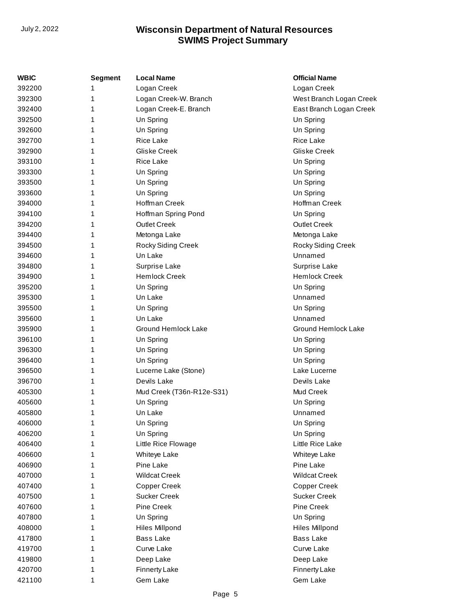| WBIC   | <b>Segment</b> | <b>Local Name</b>         | <b>Official Name</b>       |
|--------|----------------|---------------------------|----------------------------|
| 392200 | 1              | Logan Creek               | Logan Creek                |
| 392300 | 1              | Logan Creek-W. Branch     | West Branch Logan Creek    |
| 392400 | 1              | Logan Creek-E. Branch     | East Branch Logan Creek    |
| 392500 | 1              | Un Spring                 | Un Spring                  |
| 392600 | 1              | Un Spring                 | Un Spring                  |
| 392700 | 1              | Rice Lake                 | Rice Lake                  |
| 392900 | 1              | <b>Gliske Creek</b>       | Gliske Creek               |
| 393100 | 1              | <b>Rice Lake</b>          | Un Spring                  |
| 393300 | 1              | Un Spring                 | Un Spring                  |
| 393500 | 1              | Un Spring                 | Un Spring                  |
| 393600 | 1              | Un Spring                 | Un Spring                  |
| 394000 | 1              | Hoffman Creek             | Hoffman Creek              |
| 394100 | 1              | Hoffman Spring Pond       | Un Spring                  |
| 394200 | 1              | <b>Outlet Creek</b>       | <b>Outlet Creek</b>        |
| 394400 | 1              | Metonga Lake              | Metonga Lake               |
| 394500 | 1              | Rocky Siding Creek        | Rocky Siding Creek         |
| 394600 | 1              | Un Lake                   | Unnamed                    |
| 394800 | 1              | Surprise Lake             | Surprise Lake              |
| 394900 | 1              | <b>Hemlock Creek</b>      | <b>Hemlock Creek</b>       |
| 395200 | 1              | Un Spring                 | Un Spring                  |
| 395300 | 1              | Un Lake                   | Unnamed                    |
| 395500 | 1              | Un Spring                 | Un Spring                  |
| 395600 | 1              | Un Lake                   | Unnamed                    |
| 395900 | 1              | Ground Hemlock Lake       | <b>Ground Hemlock Lake</b> |
| 396100 | 1              | Un Spring                 | Un Spring                  |
| 396300 | 1              | Un Spring                 | Un Spring                  |
| 396400 | 1              | Un Spring                 | Un Spring                  |
| 396500 | 1              | Lucerne Lake (Stone)      | Lake Lucerne               |
| 396700 | 1              | Devils Lake               | Devils Lake                |
| 405300 | 1              | Mud Creek (T36n-R12e-S31) | Mud Creek                  |
| 405600 | 1              | Un Spring                 | Un Spring                  |
| 405800 | 1              | Un Lake                   | Unnamed                    |
| 406000 |                | Un Spring                 | Un Spring                  |
| 406200 | 1              | Un Spring                 | Un Spring                  |
| 406400 | 1              | Little Rice Flowage       | Little Rice Lake           |
| 406600 | 1              | Whiteye Lake              | Whiteye Lake               |
| 406900 | 1              | Pine Lake                 | Pine Lake                  |
| 407000 | 1              | <b>Wildcat Creek</b>      | <b>Wildcat Creek</b>       |
| 407400 | 1              | Copper Creek              | Copper Creek               |
| 407500 | 1              | <b>Sucker Creek</b>       | <b>Sucker Creek</b>        |
| 407600 | 1              | Pine Creek                | Pine Creek                 |
| 407800 | 1              | Un Spring                 | Un Spring                  |
| 408000 | 1              | <b>Hiles Millpond</b>     | <b>Hiles Millpond</b>      |
| 417800 | 1              | <b>Bass Lake</b>          | <b>Bass Lake</b>           |
| 419700 | 1              | Curve Lake                | Curve Lake                 |
| 419800 | 1              | Deep Lake                 | Deep Lake                  |
| 420700 | 1              | Finnerty Lake             | <b>Finnerty Lake</b>       |
| 421100 | 1              | Gem Lake                  | Gem Lake                   |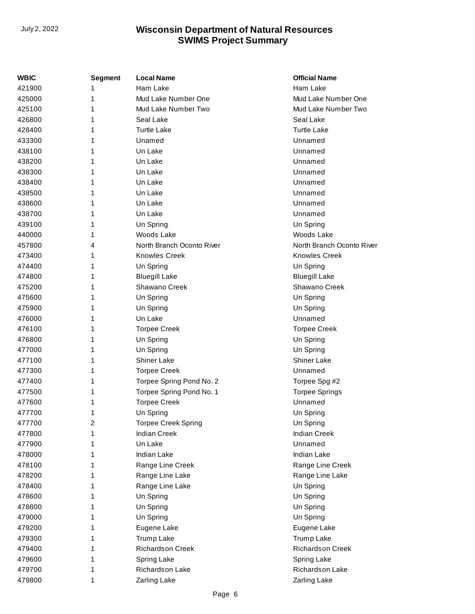| WBIC   | <b>Segment</b> | <b>Local Name</b>         | <b>Official Name</b>      |
|--------|----------------|---------------------------|---------------------------|
| 421900 | 1              | Ham Lake                  | Ham Lake                  |
| 425000 | 1              | Mud Lake Number One       | Mud Lake Number One       |
| 425100 | 1              | Mud Lake Number Two       | Mud Lake Number Two       |
| 426800 | 1              | Seal Lake                 | Seal Lake                 |
| 428400 | 1              | <b>Turtle Lake</b>        | <b>Turtle Lake</b>        |
| 433300 | 1              | Unamed                    | Unnamed                   |
| 438100 | 1              | Un Lake                   | Unnamed                   |
| 438200 | 1              | Un Lake                   | Unnamed                   |
| 438300 | 1              | Un Lake                   | Unnamed                   |
| 438400 | 1              | Un Lake                   | Unnamed                   |
| 438500 | 1              | Un Lake                   | Unnamed                   |
| 438600 | 1              | Un Lake                   | Unnamed                   |
| 438700 | 1              | Un Lake                   | Unnamed                   |
| 439100 | 1              | Un Spring                 | Un Spring                 |
| 440000 | 1              | Woods Lake                | Woods Lake                |
| 457800 | 4              | North Branch Oconto River | North Branch Oconto River |
| 473400 | 1              | <b>Knowles Creek</b>      | <b>Knowles Creek</b>      |
| 474400 | 1              | Un Spring                 | Un Spring                 |
| 474800 | 1              | <b>Bluegill Lake</b>      | <b>Bluegill Lake</b>      |
| 475200 | 1              | Shawano Creek             | Shawano Creek             |
| 475600 | 1              | Un Spring                 | Un Spring                 |
| 475900 | 1              | Un Spring                 | Un Spring                 |
| 476000 | 1              | Un Lake                   | Unnamed                   |
| 476100 | 1              | <b>Torpee Creek</b>       | <b>Torpee Creek</b>       |
| 476800 | 1              | Un Spring                 | Un Spring                 |
| 477000 | 1              | Un Spring                 | Un Spring                 |
| 477100 | 1              | Shiner Lake               | <b>Shiner Lake</b>        |
| 477300 | 1              | <b>Torpee Creek</b>       | Unnamed                   |
| 477400 | 1              | Torpee Spring Pond No. 2  | Torpee Spg #2             |
| 477500 | 1              | Torpee Spring Pond No. 1  | <b>Torpee Springs</b>     |
| 477600 | 1              | <b>Torpee Creek</b>       | Unnamed                   |
| 477700 | 1              | Un Spring                 | Un Spring                 |
| 477700 | 2              | Torpee Creek Spring       | Un Spring                 |
| 477800 | 1              | <b>Indian Creek</b>       | <b>Indian Creek</b>       |
| 477900 | 1              | Un Lake                   | Unnamed                   |
| 478000 | 1              | Indian Lake               | Indian Lake               |
| 478100 | 1              | Range Line Creek          | Range Line Creek          |
| 478200 | 1              | Range Line Lake           | Range Line Lake           |
| 478400 | 1              | Range Line Lake           | Un Spring                 |
| 478600 | 1              | Un Spring                 | Un Spring                 |
| 478800 | 1              | Un Spring                 | Un Spring                 |
| 479000 | 1              | Un Spring                 | Un Spring                 |
| 479200 | 1              | Eugene Lake               | Eugene Lake               |
| 479300 | 1              | <b>Trump Lake</b>         | Trump Lake                |
| 479400 | 1              | Richardson Creek          | <b>Richardson Creek</b>   |
| 479600 | 1              | Spring Lake               | Spring Lake               |
| 479700 | 1              | Richardson Lake           | Richardson Lake           |
| 479800 | 1              | Zarling Lake              | Zarling Lake              |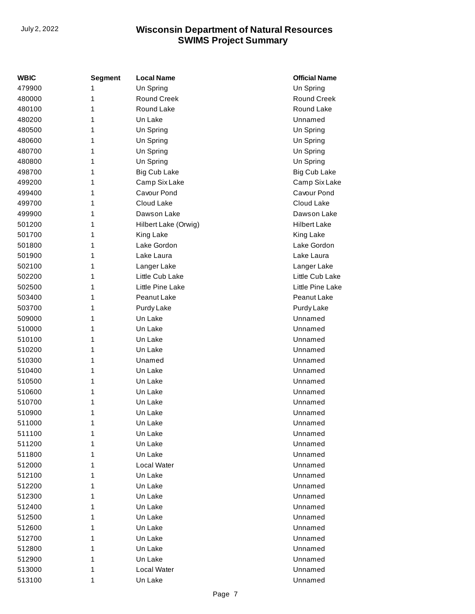| WBIC   | <b>Segment</b> | <b>Local Name</b>    | <b>Official Name</b> |
|--------|----------------|----------------------|----------------------|
| 479900 | 1              | Un Spring            | Un Spring            |
| 480000 | 1              | <b>Round Creek</b>   | <b>Round Creek</b>   |
| 480100 | 1              | Round Lake           | Round Lake           |
| 480200 | 1              | Un Lake              | Unnamed              |
| 480500 | 1              | Un Spring            | Un Spring            |
| 480600 | 1              | Un Spring            | Un Spring            |
| 480700 | 1              | Un Spring            | Un Spring            |
| 480800 | 1              | Un Spring            | Un Spring            |
| 498700 | 1              | <b>Big Cub Lake</b>  | <b>Big Cub Lake</b>  |
| 499200 | 1              | Camp Six Lake        | Camp Six Lake        |
| 499400 | 1              | Cavour Pond          | Cavour Pond          |
| 499700 | 1              | Cloud Lake           | Cloud Lake           |
| 499900 | 1              | Dawson Lake          | Dawson Lake          |
| 501200 | 1              | Hilbert Lake (Orwig) | <b>Hilbert Lake</b>  |
| 501700 | 1              | King Lake            | King Lake            |
| 501800 | 1              | Lake Gordon          | Lake Gordon          |
| 501900 | 1              | Lake Laura           | Lake Laura           |
| 502100 | 1              | Langer Lake          | Langer Lake          |
| 502200 | 1              | Little Cub Lake      | Little Cub Lake      |
| 502500 | 1              | Little Pine Lake     | Little Pine Lake     |
| 503400 | 1              | Peanut Lake          | Peanut Lake          |
| 503700 | 1              | Purdy Lake           | Purdy Lake           |
| 509000 | 1              | Un Lake              | Unnamed              |
| 510000 | 1              | Un Lake              | Unnamed              |
| 510100 | 1              | Un Lake              | Unnamed              |
| 510200 | 1              | Un Lake              | Unnamed              |
| 510300 | 1              | Unamed               | Unnamed              |
| 510400 | 1              | Un Lake              | Unnamed              |
| 510500 | 1              | Un Lake              | Unnamed              |
| 510600 | 1              | Un Lake              | Unnamed              |
| 510700 | 1              | Un Lake              | Unnamed              |
| 510900 | 1              | Un Lake              | Unnamed              |
| 511000 | 1              | Un Lake              | Unnamed              |
| 511100 | 1              | Un Lake              | Unnamed              |
| 511200 | 1              | Un Lake              | Unnamed              |
| 511800 | 1              | Un Lake              | Unnamed              |
| 512000 | 1              | <b>Local Water</b>   | Unnamed              |
| 512100 | 1              | Un Lake              | Unnamed              |
| 512200 | 1              | Un Lake              | Unnamed              |
| 512300 | 1              | Un Lake              | Unnamed              |
| 512400 | 1              | Un Lake              | Unnamed              |
| 512500 | 1              | Un Lake              | Unnamed              |
| 512600 | 1              | Un Lake              | Unnamed              |
| 512700 | 1              | Un Lake              | Unnamed              |
| 512800 | 1              | Un Lake              | Unnamed              |
| 512900 | 1              | Un Lake              | Unnamed              |
| 513000 | 1              | <b>Local Water</b>   | Unnamed              |
| 513100 | 1              | Un Lake              | Unnamed              |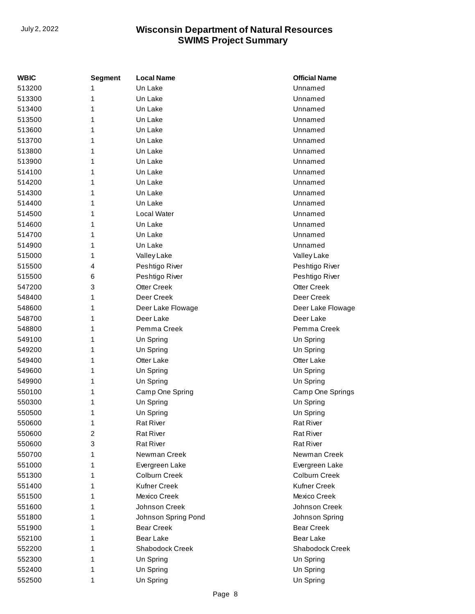| <b>WBIC</b> | <b>Segment</b> | <b>Local Name</b>   | <b>Official Name</b> |
|-------------|----------------|---------------------|----------------------|
| 513200      | 1              | Un Lake             | Unnamed              |
| 513300      | 1              | Un Lake             | Unnamed              |
| 513400      | 1              | Un Lake             | Unnamed              |
| 513500      | 1              | Un Lake             | Unnamed              |
| 513600      | 1              | Un Lake             | Unnamed              |
| 513700      | 1              | Un Lake             | Unnamed              |
| 513800      | 1              | Un Lake             | Unnamed              |
| 513900      | 1              | Un Lake             | Unnamed              |
| 514100      | 1              | Un Lake             | Unnamed              |
| 514200      | 1              | Un Lake             | Unnamed              |
| 514300      | 1              | Un Lake             | Unnamed              |
| 514400      | 1              | Un Lake             | Unnamed              |
| 514500      | 1              | Local Water         | Unnamed              |
| 514600      | 1              | Un Lake             | Unnamed              |
| 514700      | 1              | Un Lake             | Unnamed              |
| 514900      | 1              | Un Lake             | Unnamed              |
| 515000      | 1              | Valley Lake         | Valley Lake          |
| 515500      | 4              | Peshtigo River      | Peshtigo River       |
| 515500      | 6              | Peshtigo River      | Peshtigo River       |
| 547200      | 3              | <b>Otter Creek</b>  | <b>Otter Creek</b>   |
| 548400      | 1              | Deer Creek          | Deer Creek           |
| 548600      | 1              | Deer Lake Flowage   | Deer Lake Flowage    |
| 548700      | 1              | Deer Lake           | Deer Lake            |
| 548800      | 1              | Pemma Creek         | Pemma Creek          |
| 549100      | 1              | Un Spring           | Un Spring            |
| 549200      | 1              | Un Spring           | Un Spring            |
| 549400      | 1              | Otter Lake          | Otter Lake           |
| 549600      | 1              | Un Spring           | Un Spring            |
| 549900      | 1              | Un Spring           | Un Spring            |
| 550100      | 1              | Camp One Spring     | Camp One Springs     |
| 550300      | 1              | Un Spring           | Un Spring            |
| 550500      | 1              | Un Spring           | Un Spring            |
| 550600      | 1              | <b>Rat River</b>    | <b>Rat River</b>     |
| 550600      | 2              | <b>Rat River</b>    | <b>Rat River</b>     |
| 550600      | 3              | <b>Rat River</b>    | <b>Rat River</b>     |
| 550700      | 1              | Newman Creek        | Newman Creek         |
| 551000      | 1              | Evergreen Lake      | Evergreen Lake       |
| 551300      | 1              | Colburn Creek       | Colburn Creek        |
| 551400      | 1              | <b>Kufner Creek</b> | Kufner Creek         |
| 551500      | 1              | Mexico Creek        | Mexico Creek         |
| 551600      | 1              | Johnson Creek       | Johnson Creek        |
| 551800      | 1              | Johnson Spring Pond | Johnson Spring       |
| 551900      | 1              | <b>Bear Creek</b>   | <b>Bear Creek</b>    |
| 552100      | 1              | <b>Bear Lake</b>    | Bear Lake            |
| 552200      | 1              | Shabodock Creek     | Shabodock Creek      |
| 552300      | 1              | Un Spring           | Un Spring            |
| 552400      | 1              | Un Spring           | Un Spring            |
| 552500      | 1              | Un Spring           | Un Spring            |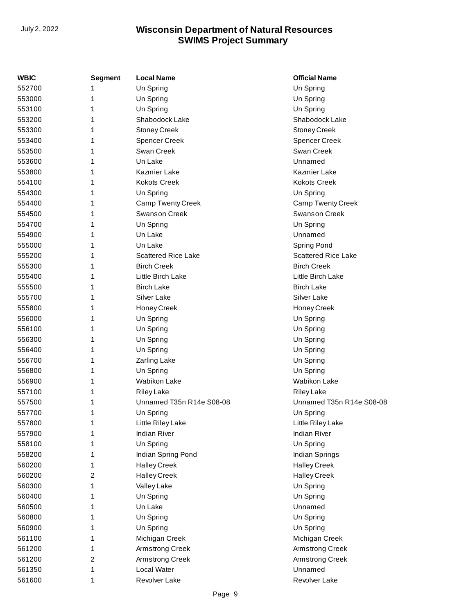| <b>WBIC</b> | <b>Segment</b> | <b>Local Name</b>          | <b>Official Name</b>       |
|-------------|----------------|----------------------------|----------------------------|
| 552700      | 1              | Un Spring                  | Un Spring                  |
| 553000      | 1              | Un Spring                  | Un Spring                  |
| 553100      | 1              | Un Spring                  | Un Spring                  |
| 553200      | 1              | Shabodock Lake             | Shabodock Lake             |
| 553300      | 1              | Stoney Creek               | Stoney Creek               |
| 553400      | 1              | <b>Spencer Creek</b>       | <b>Spencer Creek</b>       |
| 553500      | 1              | Swan Creek                 | Swan Creek                 |
| 553600      | 1              | Un Lake                    | Unnamed                    |
| 553800      | 1              | Kazmier Lake               | Kazmier Lake               |
| 554100      | 1              | <b>Kokots Creek</b>        | <b>Kokots Creek</b>        |
| 554300      | 1              | Un Spring                  | Un Spring                  |
| 554400      | 1              | <b>Camp Twenty Creek</b>   | Camp Twenty Creek          |
| 554500      | 1              | <b>Swanson Creek</b>       | <b>Swanson Creek</b>       |
| 554700      | 1              | Un Spring                  | Un Spring                  |
| 554900      | 1              | Un Lake                    | Unnamed                    |
| 555000      | 1              | Un Lake                    | Spring Pond                |
| 555200      | 1              | <b>Scattered Rice Lake</b> | <b>Scattered Rice Lake</b> |
| 555300      | 1              | <b>Birch Creek</b>         | <b>Birch Creek</b>         |
| 555400      | 1              | Little Birch Lake          | Little Birch Lake          |
| 555500      | 1              | <b>Birch Lake</b>          | <b>Birch Lake</b>          |
| 555700      | 1              | Silver Lake                | Silver Lake                |
| 555800      | 1              | Honey Creek                | Honey Creek                |
| 556000      | 1              | Un Spring                  | Un Spring                  |
| 556100      | 1              | Un Spring                  | Un Spring                  |
| 556300      | 1              | Un Spring                  | Un Spring                  |
| 556400      | 1              | Un Spring                  | Un Spring                  |
| 556700      | 1              | Zarling Lake               | Un Spring                  |
| 556800      | 1              | Un Spring                  | Un Spring                  |
| 556900      | 1              | <b>Wabikon Lake</b>        | Wabikon Lake               |
| 557100      | 1              | Riley Lake                 | <b>Riley Lake</b>          |
| 557500      | 1              | Unnamed T35n R14e S08-08   | Unnamed T35n R14e S08-08   |
| 557700      | 1              | Un Spring                  | Un Spring                  |
| 557800      | 1              | Little Riley Lake          | Little Riley Lake          |
| 557900      | 1              | <b>Indian River</b>        | <b>Indian River</b>        |
| 558100      | 1              | Un Spring                  | Un Spring                  |
| 558200      | 1              | Indian Spring Pond         | Indian Springs             |
| 560200      | 1              | <b>Halley Creek</b>        | <b>Halley Creek</b>        |
| 560200      | 2              | <b>Halley Creek</b>        | <b>Halley Creek</b>        |
| 560300      | 1              | Valley Lake                | Un Spring                  |
| 560400      | 1              | Un Spring                  | Un Spring                  |
| 560500      | 1              | Un Lake                    | Unnamed                    |
| 560800      | 1              | Un Spring                  | Un Spring                  |
| 560900      | 1              | Un Spring                  | Un Spring                  |
| 561100      | 1              | Michigan Creek             | Michigan Creek             |
| 561200      | 1              | Armstrong Creek            | Armstrong Creek            |
| 561200      | 2              | Armstrong Creek            | Armstrong Creek            |
| 561350      | 1              | Local Water                | Unnamed                    |
| 561600      | 1              | Revolver Lake              | Revolver Lake              |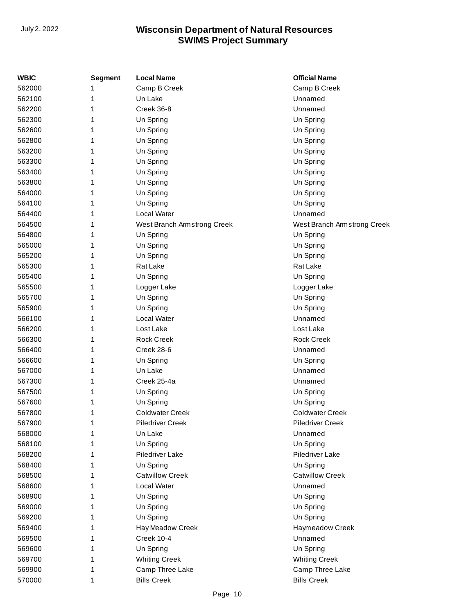| WBIC   | <b>Segment</b> | <b>Local Name</b>           | <b>Official Name</b>        |
|--------|----------------|-----------------------------|-----------------------------|
| 562000 |                | Camp B Creek                | Camp B Creek                |
| 562100 | 1              | Un Lake                     | Unnamed                     |
| 562200 | 1              | Creek 36-8                  | Unnamed                     |
| 562300 | 1              | Un Spring                   | Un Spring                   |
| 562600 | 1              | Un Spring                   | Un Spring                   |
| 562800 | 1              | Un Spring                   | Un Spring                   |
| 563200 | 1              | Un Spring                   | Un Spring                   |
| 563300 | 1              | Un Spring                   | Un Spring                   |
| 563400 | 1              | Un Spring                   | Un Spring                   |
| 563800 | 1              | Un Spring                   | Un Spring                   |
| 564000 | 1              | Un Spring                   | Un Spring                   |
| 564100 | 1              | Un Spring                   | Un Spring                   |
| 564400 | 1              | Local Water                 | Unnamed                     |
| 564500 | 1              | West Branch Armstrong Creek | West Branch Armstrong Creek |
| 564800 | 1              | Un Spring                   | Un Spring                   |
| 565000 | 1              | Un Spring                   | Un Spring                   |
| 565200 | 1              | Un Spring                   | Un Spring                   |
| 565300 | 1              | Rat Lake                    | Rat Lake                    |
| 565400 | 1              | Un Spring                   | Un Spring                   |
| 565500 | 1              | Logger Lake                 | Logger Lake                 |
| 565700 | 1              | Un Spring                   | Un Spring                   |
| 565900 | 1              | Un Spring                   | Un Spring                   |
| 566100 | 1              | Local Water                 | Unnamed                     |
| 566200 | 1              | Lost Lake                   | Lost Lake                   |
| 566300 | 1              | <b>Rock Creek</b>           | <b>Rock Creek</b>           |
| 566400 | 1              | Creek 28-6                  | Unnamed                     |
| 566600 | 1              | Un Spring                   | Un Spring                   |
| 567000 | 1              | Un Lake                     | Unnamed                     |
| 567300 | 1              | Creek 25-4a                 | Unnamed                     |
| 567500 | 1              | Un Spring                   | Un Spring                   |
| 567600 | 1              | Un Spring                   | Un Spring                   |
| 567800 | 1              | <b>Coldwater Creek</b>      | <b>Coldwater Creek</b>      |
| 567900 | 1              | <b>Piledriver Creek</b>     | Piledriver Creek            |
| 568000 | 1              | Un Lake                     | Unnamed                     |
| 568100 | 1              | Un Spring                   | Un Spring                   |
| 568200 | 1              | Piledriver Lake             | Piledriver Lake             |
| 568400 | 1              | Un Spring                   | Un Spring                   |
| 568500 | 1              | <b>Catwillow Creek</b>      | <b>Catwillow Creek</b>      |
| 568600 | 1              | Local Water                 | Unnamed                     |
| 568900 | 1              | Un Spring                   | Un Spring                   |
| 569000 | 1              | Un Spring                   | Un Spring                   |
| 569200 | 1              | Un Spring                   | Un Spring                   |
| 569400 | 1              | Hay Meadow Creek            | Haymeadow Creek             |
| 569500 | 1              | Creek 10-4                  | Unnamed                     |
| 569600 | 1              | Un Spring                   | Un Spring                   |
| 569700 | 1              | <b>Whiting Creek</b>        | <b>Whiting Creek</b>        |
| 569900 | 1              | Camp Three Lake             | Camp Three Lake             |
| 570000 | 1              | <b>Bills Creek</b>          | <b>Bills Creek</b>          |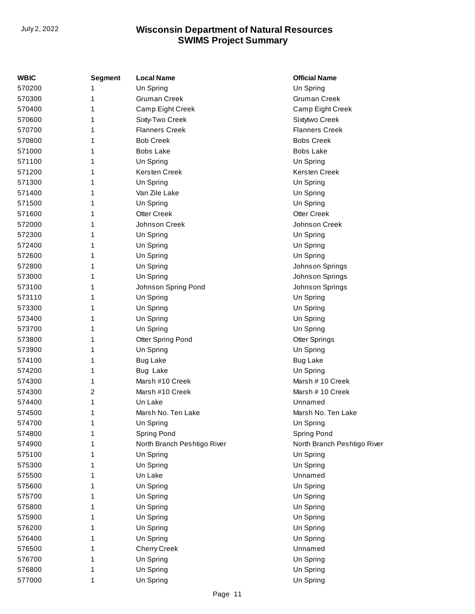| <b>Segment</b> | <b>Local Name</b>           | <b>Official Name</b>        |
|----------------|-----------------------------|-----------------------------|
| 1              | Un Spring                   | Un Spring                   |
| 1              | <b>Gruman Creek</b>         | <b>Gruman Creek</b>         |
| 1              | Camp Eight Creek            | Camp Eight Creek            |
| 1              | Sixty-Two Creek             | Sixtytwo Creek              |
| 1              | <b>Flanners Creek</b>       | <b>Flanners Creek</b>       |
| 1              | <b>Bob Creek</b>            | <b>Bobs Creek</b>           |
| 1              | <b>Bobs Lake</b>            | <b>Bobs Lake</b>            |
| 1              | Un Spring                   | Un Spring                   |
| 1              | Kersten Creek               | Kersten Creek               |
| 1              | Un Spring                   | Un Spring                   |
| 1              | Van Zile Lake               | Un Spring                   |
| 1              | Un Spring                   | Un Spring                   |
| 1              | <b>Otter Creek</b>          | <b>Otter Creek</b>          |
| 1              | Johnson Creek               | Johnson Creek               |
| 1              | Un Spring                   | Un Spring                   |
| 1              | Un Spring                   | Un Spring                   |
| 1              | Un Spring                   | Un Spring                   |
| 1              | Un Spring                   | Johnson Springs             |
| 1              | Un Spring                   | Johnson Springs             |
| 1              | Johnson Spring Pond         | Johnson Springs             |
| 1              |                             | Un Spring                   |
| 1              | Un Spring                   | Un Spring                   |
| 1              | Un Spring                   | Un Spring                   |
| 1              | Un Spring                   | Un Spring                   |
| 1              | <b>Otter Spring Pond</b>    | <b>Otter Springs</b>        |
| 1              |                             | Un Spring                   |
| 1              | <b>Bug Lake</b>             | <b>Bug Lake</b>             |
| 1              | <b>Bug Lake</b>             | Un Spring                   |
| 1              | Marsh #10 Creek             | Marsh # 10 Creek            |
| 2              | Marsh #10 Creek             | Marsh #10 Creek             |
| 1              | Un Lake                     | Unnamed                     |
| 1              | Marsh No. Ten Lake          | Marsh No. Ten Lake          |
| 1              | Un Spring                   | Un Spring                   |
| 1              | Spring Pond                 | Spring Pond                 |
| 1              | North Branch Peshtigo River | North Branch Peshtigo River |
| 1              | Un Spring                   | Un Spring                   |
| 1              | Un Spring                   | Un Spring                   |
| 1              | Un Lake                     | Unnamed                     |
| 1              | Un Spring                   | Un Spring                   |
| 1              | Un Spring                   | Un Spring                   |
| 1              | Un Spring                   | Un Spring                   |
| 1              | Un Spring                   | Un Spring                   |
| 1              | Un Spring                   | Un Spring                   |
| 1              | Un Spring                   | Un Spring                   |
| 1              | <b>Cherry Creek</b>         | Unnamed                     |
| 1              | Un Spring                   | Un Spring                   |
| 1              | Un Spring                   | Un Spring                   |
| 1              | Un Spring                   | Un Spring                   |
|                |                             | Un Spring<br>Un Spring      |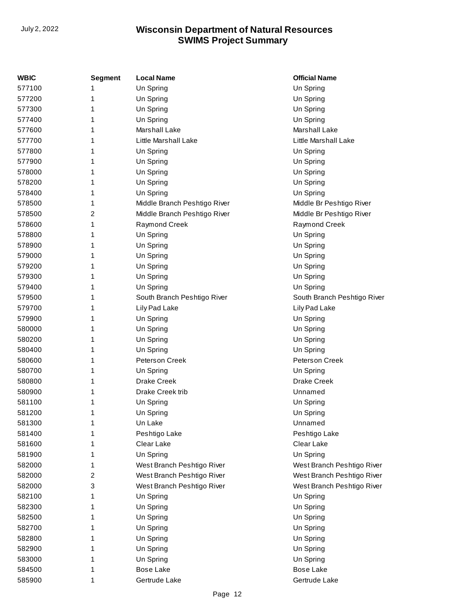| WBIC   | <b>Segment</b> | <b>Local Name</b>            | <b>Official Name</b>        |
|--------|----------------|------------------------------|-----------------------------|
| 577100 | 1              | Un Spring                    | Un Spring                   |
| 577200 | 1              | Un Spring                    | Un Spring                   |
| 577300 | 1              | Un Spring                    | Un Spring                   |
| 577400 | 1              | Un Spring                    | Un Spring                   |
| 577600 | 1              | Marshall Lake                | Marshall Lake               |
| 577700 | 1              | Little Marshall Lake         | <b>Little Marshall Lake</b> |
| 577800 | 1              | Un Spring                    | Un Spring                   |
| 577900 | 1              | Un Spring                    | Un Spring                   |
| 578000 | 1              | Un Spring                    | Un Spring                   |
| 578200 | 1              | Un Spring                    | Un Spring                   |
| 578400 | 1              | Un Spring                    | Un Spring                   |
| 578500 | 1              | Middle Branch Peshtigo River | Middle Br Peshtigo River    |
| 578500 | 2              | Middle Branch Peshtigo River | Middle Br Peshtigo River    |
| 578600 | 1              | Raymond Creek                | Raymond Creek               |
| 578800 | 1              | Un Spring                    | Un Spring                   |
| 578900 | 1              | Un Spring                    | Un Spring                   |
| 579000 | 1              | Un Spring                    | Un Spring                   |
| 579200 | 1              | Un Spring                    | Un Spring                   |
| 579300 | 1              | Un Spring                    | Un Spring                   |
| 579400 | 1              | Un Spring                    | Un Spring                   |
| 579500 | 1              | South Branch Peshtigo River  | South Branch Peshtigo River |
| 579700 | 1              | Lily Pad Lake                | Lily Pad Lake               |
| 579900 | 1              | Un Spring                    | Un Spring                   |
| 580000 | 1              | Un Spring                    | Un Spring                   |
| 580200 | 1              | Un Spring                    | Un Spring                   |
| 580400 | 1              | Un Spring                    | Un Spring                   |
| 580600 | 1              | Peterson Creek               | Peterson Creek              |
| 580700 | 1              | Un Spring                    | Un Spring                   |
| 580800 | 1              | Drake Creek                  | <b>Drake Creek</b>          |
| 580900 | 1              | Drake Creek trib             | Unnamed                     |
| 581100 | 1              | Un Spring                    | Un Spring                   |
| 581200 | 1              | Un Spring                    | Un Spring                   |
| 581300 | 1              | Un Lake                      | Unnamed                     |
| 581400 | 1              | Peshtigo Lake                | Peshtigo Lake               |
| 581600 | 1              | Clear Lake                   | Clear Lake                  |
| 581900 | 1              | Un Spring                    | Un Spring                   |
| 582000 | 1              | West Branch Peshtigo River   | West Branch Peshtigo River  |
| 582000 | 2              | West Branch Peshtigo River   | West Branch Peshtigo River  |
| 582000 | 3              | West Branch Peshtigo River   | West Branch Peshtigo River  |
| 582100 | 1              | Un Spring                    | Un Spring                   |
| 582300 | 1              | Un Spring                    | Un Spring                   |
| 582500 | 1              | Un Spring                    | Un Spring                   |
| 582700 | 1              | Un Spring                    | Un Spring                   |
| 582800 | 1              | Un Spring                    | Un Spring                   |
| 582900 | 1              | Un Spring                    | Un Spring                   |
| 583000 | 1              | Un Spring                    | Un Spring                   |
| 584500 | 1              | <b>Bose Lake</b>             | Bose Lake                   |
| 585900 | 1              | Gertrude Lake                | Gertrude Lake               |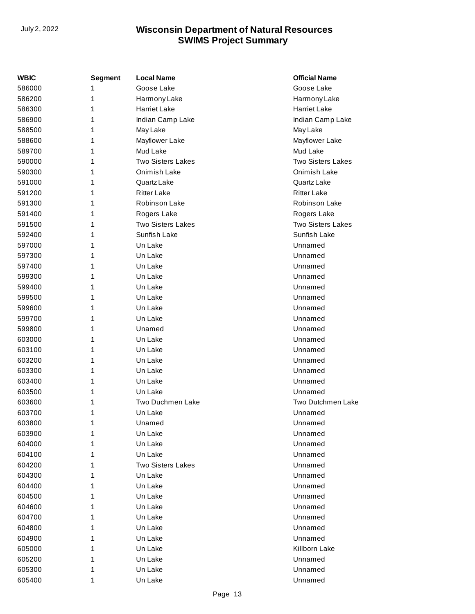| WBIC   | <b>Segment</b> | <b>Local Name</b>        | <b>Official Name</b>     |
|--------|----------------|--------------------------|--------------------------|
| 586000 | 1              | Goose Lake               | Goose Lake               |
| 586200 | 1              | Harmony Lake             | Harmony Lake             |
| 586300 | 1              | <b>Harriet Lake</b>      | <b>Harriet Lake</b>      |
| 586900 | 1              | Indian Camp Lake         | Indian Camp Lake         |
| 588500 | 1              | May Lake                 | May Lake                 |
| 588600 | 1              | Mayflower Lake           | Mayflower Lake           |
| 589700 | 1              | Mud Lake                 | Mud Lake                 |
| 590000 | 1              | <b>Two Sisters Lakes</b> | <b>Two Sisters Lakes</b> |
| 590300 | 1              | Onimish Lake             | Onimish Lake             |
| 591000 | 1              | Quartz Lake              | Quartz Lake              |
| 591200 | 1              | <b>Ritter Lake</b>       | <b>Ritter Lake</b>       |
| 591300 | 1              | Robinson Lake            | Robinson Lake            |
| 591400 | 1              | Rogers Lake              | Rogers Lake              |
| 591500 | 1              | <b>Two Sisters Lakes</b> | <b>Two Sisters Lakes</b> |
| 592400 | 1              | Sunfish Lake             | Sunfish Lake             |
| 597000 | 1              | Un Lake                  | Unnamed                  |
| 597300 | 1              | Un Lake                  | Unnamed                  |
| 597400 | 1              | Un Lake                  | Unnamed                  |
| 599300 | 1              | Un Lake                  | Unnamed                  |
| 599400 | 1              | Un Lake                  | Unnamed                  |
| 599500 | 1              | Un Lake                  | Unnamed                  |
| 599600 | 1              | Un Lake                  | Unnamed                  |
| 599700 | 1              | Un Lake                  | Unnamed                  |
| 599800 | 1              | Unamed                   | Unnamed                  |
| 603000 | 1              | Un Lake                  | Unnamed                  |
| 603100 | 1              | Un Lake                  | Unnamed                  |
| 603200 | 1              | Un Lake                  | Unnamed                  |
| 603300 | 1              | Un Lake                  | Unnamed                  |
| 603400 | 1              | Un Lake                  | Unnamed                  |
| 603500 | 1              | Un Lake                  | Unnamed                  |
| 603600 | 1              | <b>Two Duchmen Lake</b>  | Two Dutchmen Lake        |
| 603700 | 1              | Un Lake                  | Unnamed                  |
| 603800 | 1              | Unamed                   | Unnamed                  |
| 603900 | 1              | Un Lake                  | Unnamed                  |
| 604000 | 1              | Un Lake                  | Unnamed                  |
| 604100 | 1              | Un Lake                  | Unnamed                  |
| 604200 | 1              | Two Sisters Lakes        | Unnamed                  |
| 604300 | 1              | Un Lake                  | Unnamed                  |
| 604400 | 1              | Un Lake                  | Unnamed                  |
| 604500 | 1              | Un Lake                  | Unnamed                  |
| 604600 | 1              | Un Lake                  | Unnamed                  |
| 604700 | 1              | Un Lake                  | Unnamed                  |
| 604800 | 1              | Un Lake                  | Unnamed                  |
| 604900 | 1              | Un Lake                  | Unnamed                  |
| 605000 | 1              | Un Lake                  | Killborn Lake            |
| 605200 | 1              | Un Lake                  | Unnamed                  |
| 605300 | 1              | Un Lake                  | Unnamed                  |
| 605400 | 1              | Un Lake                  | Unnamed                  |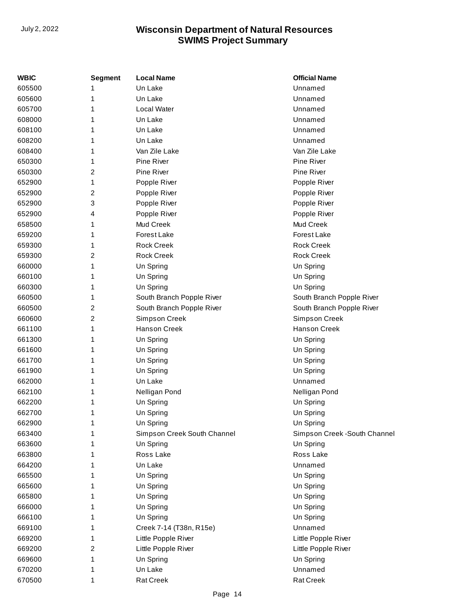| Un Lake<br>Unnamed<br>Un Lake<br>Unnamed<br>1<br>Local Water<br>Unnamed<br>Un Lake<br>Unnamed<br>Un Lake<br>Unnamed<br>Unnamed<br>Un Lake<br>1<br>Van Zile Lake<br>Van Zile Lake<br>Pine River<br>Pine River<br>Pine River<br>Pine River<br>2<br>Popple River<br>Popple River<br>1<br>2<br>Popple River<br>Popple River<br>3<br>Popple River<br>Popple River<br>Popple River<br>Popple River<br>4<br>Mud Creek<br>Mud Creek<br>1<br>Forest Lake<br>Forest Lake<br><b>Rock Creek</b><br><b>Rock Creek</b><br><b>Rock Creek</b><br><b>Rock Creek</b><br>2<br>Un Spring<br>Un Spring<br>1<br>Un Spring<br>Un Spring<br>1<br>Un Spring<br>Un Spring<br>1<br>South Branch Popple River<br>South Branch Popple River<br>1<br>2<br>South Branch Popple River<br>South Branch Popple River<br>2<br>Simpson Creek<br>Simpson Creek<br><b>Hanson Creek</b><br><b>Hanson Creek</b><br>1<br>Un Spring<br>Un Spring<br>1<br>Un Spring<br>Un Spring<br>1<br>Un Spring<br>Un Spring<br>Un Spring<br>Un Spring<br>Unnamed<br>Un Lake<br>1<br>Nelligan Pond<br>Nelligan Pond<br>1<br>Un Spring<br>Un Spring<br>1<br>Un Spring<br>Un Spring<br>1<br>1<br>Un Spring<br>Un Spring<br>Simpson Creek South Channel<br>Simpson Creek - South Channel<br>Un Spring<br>Un Spring<br>Ross Lake<br>Ross Lake<br>Un Lake<br>Unnamed<br>Un Spring<br>Un Spring<br>Un Spring<br>Un Spring<br>Un Spring<br>Un Spring<br>Un Spring<br>Un Spring<br>Un Spring<br>Un Spring<br>Unnamed<br>Creek 7-14 (T38n, R15e)<br>Little Popple River<br>Little Popple River<br>Little Popple River<br>Little Popple River<br>2<br>Un Spring<br>Un Spring<br>Un Lake<br>Unnamed<br><b>Rat Creek</b><br><b>Rat Creek</b><br>1 | <b>WBIC</b> | <b>Segment</b> | <b>Local Name</b> | <b>Official Name</b> |
|-------------------------------------------------------------------------------------------------------------------------------------------------------------------------------------------------------------------------------------------------------------------------------------------------------------------------------------------------------------------------------------------------------------------------------------------------------------------------------------------------------------------------------------------------------------------------------------------------------------------------------------------------------------------------------------------------------------------------------------------------------------------------------------------------------------------------------------------------------------------------------------------------------------------------------------------------------------------------------------------------------------------------------------------------------------------------------------------------------------------------------------------------------------------------------------------------------------------------------------------------------------------------------------------------------------------------------------------------------------------------------------------------------------------------------------------------------------------------------------------------------------------------------------------------------------------------------------------------------------------------------------------------------------------------------|-------------|----------------|-------------------|----------------------|
|                                                                                                                                                                                                                                                                                                                                                                                                                                                                                                                                                                                                                                                                                                                                                                                                                                                                                                                                                                                                                                                                                                                                                                                                                                                                                                                                                                                                                                                                                                                                                                                                                                                                               | 605500      |                |                   |                      |
|                                                                                                                                                                                                                                                                                                                                                                                                                                                                                                                                                                                                                                                                                                                                                                                                                                                                                                                                                                                                                                                                                                                                                                                                                                                                                                                                                                                                                                                                                                                                                                                                                                                                               | 605600      |                |                   |                      |
|                                                                                                                                                                                                                                                                                                                                                                                                                                                                                                                                                                                                                                                                                                                                                                                                                                                                                                                                                                                                                                                                                                                                                                                                                                                                                                                                                                                                                                                                                                                                                                                                                                                                               | 605700      |                |                   |                      |
|                                                                                                                                                                                                                                                                                                                                                                                                                                                                                                                                                                                                                                                                                                                                                                                                                                                                                                                                                                                                                                                                                                                                                                                                                                                                                                                                                                                                                                                                                                                                                                                                                                                                               | 608000      |                |                   |                      |
|                                                                                                                                                                                                                                                                                                                                                                                                                                                                                                                                                                                                                                                                                                                                                                                                                                                                                                                                                                                                                                                                                                                                                                                                                                                                                                                                                                                                                                                                                                                                                                                                                                                                               | 608100      |                |                   |                      |
|                                                                                                                                                                                                                                                                                                                                                                                                                                                                                                                                                                                                                                                                                                                                                                                                                                                                                                                                                                                                                                                                                                                                                                                                                                                                                                                                                                                                                                                                                                                                                                                                                                                                               | 608200      |                |                   |                      |
|                                                                                                                                                                                                                                                                                                                                                                                                                                                                                                                                                                                                                                                                                                                                                                                                                                                                                                                                                                                                                                                                                                                                                                                                                                                                                                                                                                                                                                                                                                                                                                                                                                                                               | 608400      |                |                   |                      |
|                                                                                                                                                                                                                                                                                                                                                                                                                                                                                                                                                                                                                                                                                                                                                                                                                                                                                                                                                                                                                                                                                                                                                                                                                                                                                                                                                                                                                                                                                                                                                                                                                                                                               | 650300      |                |                   |                      |
|                                                                                                                                                                                                                                                                                                                                                                                                                                                                                                                                                                                                                                                                                                                                                                                                                                                                                                                                                                                                                                                                                                                                                                                                                                                                                                                                                                                                                                                                                                                                                                                                                                                                               | 650300      |                |                   |                      |
|                                                                                                                                                                                                                                                                                                                                                                                                                                                                                                                                                                                                                                                                                                                                                                                                                                                                                                                                                                                                                                                                                                                                                                                                                                                                                                                                                                                                                                                                                                                                                                                                                                                                               | 652900      |                |                   |                      |
|                                                                                                                                                                                                                                                                                                                                                                                                                                                                                                                                                                                                                                                                                                                                                                                                                                                                                                                                                                                                                                                                                                                                                                                                                                                                                                                                                                                                                                                                                                                                                                                                                                                                               | 652900      |                |                   |                      |
|                                                                                                                                                                                                                                                                                                                                                                                                                                                                                                                                                                                                                                                                                                                                                                                                                                                                                                                                                                                                                                                                                                                                                                                                                                                                                                                                                                                                                                                                                                                                                                                                                                                                               | 652900      |                |                   |                      |
|                                                                                                                                                                                                                                                                                                                                                                                                                                                                                                                                                                                                                                                                                                                                                                                                                                                                                                                                                                                                                                                                                                                                                                                                                                                                                                                                                                                                                                                                                                                                                                                                                                                                               | 652900      |                |                   |                      |
|                                                                                                                                                                                                                                                                                                                                                                                                                                                                                                                                                                                                                                                                                                                                                                                                                                                                                                                                                                                                                                                                                                                                                                                                                                                                                                                                                                                                                                                                                                                                                                                                                                                                               | 658500      |                |                   |                      |
|                                                                                                                                                                                                                                                                                                                                                                                                                                                                                                                                                                                                                                                                                                                                                                                                                                                                                                                                                                                                                                                                                                                                                                                                                                                                                                                                                                                                                                                                                                                                                                                                                                                                               | 659200      |                |                   |                      |
|                                                                                                                                                                                                                                                                                                                                                                                                                                                                                                                                                                                                                                                                                                                                                                                                                                                                                                                                                                                                                                                                                                                                                                                                                                                                                                                                                                                                                                                                                                                                                                                                                                                                               | 659300      |                |                   |                      |
|                                                                                                                                                                                                                                                                                                                                                                                                                                                                                                                                                                                                                                                                                                                                                                                                                                                                                                                                                                                                                                                                                                                                                                                                                                                                                                                                                                                                                                                                                                                                                                                                                                                                               | 659300      |                |                   |                      |
|                                                                                                                                                                                                                                                                                                                                                                                                                                                                                                                                                                                                                                                                                                                                                                                                                                                                                                                                                                                                                                                                                                                                                                                                                                                                                                                                                                                                                                                                                                                                                                                                                                                                               | 660000      |                |                   |                      |
|                                                                                                                                                                                                                                                                                                                                                                                                                                                                                                                                                                                                                                                                                                                                                                                                                                                                                                                                                                                                                                                                                                                                                                                                                                                                                                                                                                                                                                                                                                                                                                                                                                                                               | 660100      |                |                   |                      |
|                                                                                                                                                                                                                                                                                                                                                                                                                                                                                                                                                                                                                                                                                                                                                                                                                                                                                                                                                                                                                                                                                                                                                                                                                                                                                                                                                                                                                                                                                                                                                                                                                                                                               | 660300      |                |                   |                      |
|                                                                                                                                                                                                                                                                                                                                                                                                                                                                                                                                                                                                                                                                                                                                                                                                                                                                                                                                                                                                                                                                                                                                                                                                                                                                                                                                                                                                                                                                                                                                                                                                                                                                               | 660500      |                |                   |                      |
|                                                                                                                                                                                                                                                                                                                                                                                                                                                                                                                                                                                                                                                                                                                                                                                                                                                                                                                                                                                                                                                                                                                                                                                                                                                                                                                                                                                                                                                                                                                                                                                                                                                                               | 660500      |                |                   |                      |
|                                                                                                                                                                                                                                                                                                                                                                                                                                                                                                                                                                                                                                                                                                                                                                                                                                                                                                                                                                                                                                                                                                                                                                                                                                                                                                                                                                                                                                                                                                                                                                                                                                                                               | 660600      |                |                   |                      |
|                                                                                                                                                                                                                                                                                                                                                                                                                                                                                                                                                                                                                                                                                                                                                                                                                                                                                                                                                                                                                                                                                                                                                                                                                                                                                                                                                                                                                                                                                                                                                                                                                                                                               | 661100      |                |                   |                      |
|                                                                                                                                                                                                                                                                                                                                                                                                                                                                                                                                                                                                                                                                                                                                                                                                                                                                                                                                                                                                                                                                                                                                                                                                                                                                                                                                                                                                                                                                                                                                                                                                                                                                               | 661300      |                |                   |                      |
|                                                                                                                                                                                                                                                                                                                                                                                                                                                                                                                                                                                                                                                                                                                                                                                                                                                                                                                                                                                                                                                                                                                                                                                                                                                                                                                                                                                                                                                                                                                                                                                                                                                                               | 661600      |                |                   |                      |
|                                                                                                                                                                                                                                                                                                                                                                                                                                                                                                                                                                                                                                                                                                                                                                                                                                                                                                                                                                                                                                                                                                                                                                                                                                                                                                                                                                                                                                                                                                                                                                                                                                                                               | 661700      |                |                   |                      |
|                                                                                                                                                                                                                                                                                                                                                                                                                                                                                                                                                                                                                                                                                                                                                                                                                                                                                                                                                                                                                                                                                                                                                                                                                                                                                                                                                                                                                                                                                                                                                                                                                                                                               | 661900      |                |                   |                      |
|                                                                                                                                                                                                                                                                                                                                                                                                                                                                                                                                                                                                                                                                                                                                                                                                                                                                                                                                                                                                                                                                                                                                                                                                                                                                                                                                                                                                                                                                                                                                                                                                                                                                               | 662000      |                |                   |                      |
|                                                                                                                                                                                                                                                                                                                                                                                                                                                                                                                                                                                                                                                                                                                                                                                                                                                                                                                                                                                                                                                                                                                                                                                                                                                                                                                                                                                                                                                                                                                                                                                                                                                                               | 662100      |                |                   |                      |
|                                                                                                                                                                                                                                                                                                                                                                                                                                                                                                                                                                                                                                                                                                                                                                                                                                                                                                                                                                                                                                                                                                                                                                                                                                                                                                                                                                                                                                                                                                                                                                                                                                                                               | 662200      |                |                   |                      |
|                                                                                                                                                                                                                                                                                                                                                                                                                                                                                                                                                                                                                                                                                                                                                                                                                                                                                                                                                                                                                                                                                                                                                                                                                                                                                                                                                                                                                                                                                                                                                                                                                                                                               | 662700      |                |                   |                      |
|                                                                                                                                                                                                                                                                                                                                                                                                                                                                                                                                                                                                                                                                                                                                                                                                                                                                                                                                                                                                                                                                                                                                                                                                                                                                                                                                                                                                                                                                                                                                                                                                                                                                               | 662900      |                |                   |                      |
|                                                                                                                                                                                                                                                                                                                                                                                                                                                                                                                                                                                                                                                                                                                                                                                                                                                                                                                                                                                                                                                                                                                                                                                                                                                                                                                                                                                                                                                                                                                                                                                                                                                                               | 663400      |                |                   |                      |
|                                                                                                                                                                                                                                                                                                                                                                                                                                                                                                                                                                                                                                                                                                                                                                                                                                                                                                                                                                                                                                                                                                                                                                                                                                                                                                                                                                                                                                                                                                                                                                                                                                                                               | 663600      |                |                   |                      |
|                                                                                                                                                                                                                                                                                                                                                                                                                                                                                                                                                                                                                                                                                                                                                                                                                                                                                                                                                                                                                                                                                                                                                                                                                                                                                                                                                                                                                                                                                                                                                                                                                                                                               | 663800      |                |                   |                      |
|                                                                                                                                                                                                                                                                                                                                                                                                                                                                                                                                                                                                                                                                                                                                                                                                                                                                                                                                                                                                                                                                                                                                                                                                                                                                                                                                                                                                                                                                                                                                                                                                                                                                               | 664200      |                |                   |                      |
|                                                                                                                                                                                                                                                                                                                                                                                                                                                                                                                                                                                                                                                                                                                                                                                                                                                                                                                                                                                                                                                                                                                                                                                                                                                                                                                                                                                                                                                                                                                                                                                                                                                                               | 665500      |                |                   |                      |
|                                                                                                                                                                                                                                                                                                                                                                                                                                                                                                                                                                                                                                                                                                                                                                                                                                                                                                                                                                                                                                                                                                                                                                                                                                                                                                                                                                                                                                                                                                                                                                                                                                                                               | 665600      |                |                   |                      |
|                                                                                                                                                                                                                                                                                                                                                                                                                                                                                                                                                                                                                                                                                                                                                                                                                                                                                                                                                                                                                                                                                                                                                                                                                                                                                                                                                                                                                                                                                                                                                                                                                                                                               | 665800      |                |                   |                      |
|                                                                                                                                                                                                                                                                                                                                                                                                                                                                                                                                                                                                                                                                                                                                                                                                                                                                                                                                                                                                                                                                                                                                                                                                                                                                                                                                                                                                                                                                                                                                                                                                                                                                               | 666000      |                |                   |                      |
|                                                                                                                                                                                                                                                                                                                                                                                                                                                                                                                                                                                                                                                                                                                                                                                                                                                                                                                                                                                                                                                                                                                                                                                                                                                                                                                                                                                                                                                                                                                                                                                                                                                                               | 666100      |                |                   |                      |
|                                                                                                                                                                                                                                                                                                                                                                                                                                                                                                                                                                                                                                                                                                                                                                                                                                                                                                                                                                                                                                                                                                                                                                                                                                                                                                                                                                                                                                                                                                                                                                                                                                                                               | 669100      |                |                   |                      |
|                                                                                                                                                                                                                                                                                                                                                                                                                                                                                                                                                                                                                                                                                                                                                                                                                                                                                                                                                                                                                                                                                                                                                                                                                                                                                                                                                                                                                                                                                                                                                                                                                                                                               | 669200      |                |                   |                      |
|                                                                                                                                                                                                                                                                                                                                                                                                                                                                                                                                                                                                                                                                                                                                                                                                                                                                                                                                                                                                                                                                                                                                                                                                                                                                                                                                                                                                                                                                                                                                                                                                                                                                               | 669200      |                |                   |                      |
|                                                                                                                                                                                                                                                                                                                                                                                                                                                                                                                                                                                                                                                                                                                                                                                                                                                                                                                                                                                                                                                                                                                                                                                                                                                                                                                                                                                                                                                                                                                                                                                                                                                                               | 669600      |                |                   |                      |
|                                                                                                                                                                                                                                                                                                                                                                                                                                                                                                                                                                                                                                                                                                                                                                                                                                                                                                                                                                                                                                                                                                                                                                                                                                                                                                                                                                                                                                                                                                                                                                                                                                                                               | 670200      |                |                   |                      |
|                                                                                                                                                                                                                                                                                                                                                                                                                                                                                                                                                                                                                                                                                                                                                                                                                                                                                                                                                                                                                                                                                                                                                                                                                                                                                                                                                                                                                                                                                                                                                                                                                                                                               | 670500      |                |                   |                      |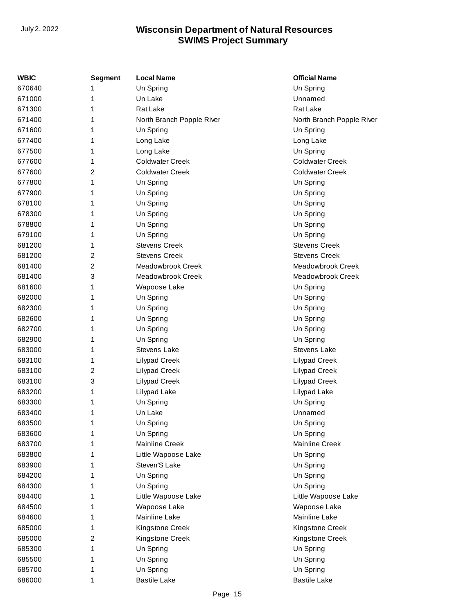| WBIC   | <b>Segment</b> | <b>Local Name</b>         | <b>Official Name</b>      |
|--------|----------------|---------------------------|---------------------------|
| 670640 | 1              | Un Spring                 | Un Spring                 |
| 671000 | 1              | Un Lake                   | Unnamed                   |
| 671300 | 1              | Rat Lake                  | Rat Lake                  |
| 671400 | 1              | North Branch Popple River | North Branch Popple River |
| 671600 | 1              | Un Spring                 | Un Spring                 |
| 677400 | 1              | Long Lake                 | Long Lake                 |
| 677500 | 1              | Long Lake                 | Un Spring                 |
| 677600 | 1              | <b>Coldwater Creek</b>    | <b>Coldwater Creek</b>    |
| 677600 | 2              | <b>Coldwater Creek</b>    | <b>Coldwater Creek</b>    |
| 677800 | 1              | Un Spring                 | Un Spring                 |
| 677900 | 1              | Un Spring                 | Un Spring                 |
| 678100 | 1              | Un Spring                 | Un Spring                 |
| 678300 | 1              | Un Spring                 | Un Spring                 |
| 678800 | 1              | Un Spring                 | Un Spring                 |
| 679100 | 1              | Un Spring                 | Un Spring                 |
| 681200 | 1              | <b>Stevens Creek</b>      | <b>Stevens Creek</b>      |
| 681200 | 2              | <b>Stevens Creek</b>      | <b>Stevens Creek</b>      |
| 681400 | 2              | Meadowbrook Creek         | Meadowbrook Creek         |
| 681400 | 3              | Meadowbrook Creek         | Meadowbrook Creek         |
| 681600 | 1              | Wapoose Lake              | Un Spring                 |
| 682000 | 1              | Un Spring                 | Un Spring                 |
| 682300 | 1              | Un Spring                 | Un Spring                 |
| 682600 | 1              | Un Spring                 | Un Spring                 |
| 682700 | 1              | Un Spring                 | Un Spring                 |
| 682900 | 1              | Un Spring                 | Un Spring                 |
| 683000 | 1              | <b>Stevens Lake</b>       | Stevens Lake              |
| 683100 | 1              | Lilypad Creek             | <b>Lilypad Creek</b>      |
| 683100 | 2              | Lilypad Creek             | Lilypad Creek             |
| 683100 | 3              | Lilypad Creek             | <b>Lilypad Creek</b>      |
| 683200 | 1              | Lilypad Lake              | Lilypad Lake              |
| 683300 | 1              | Un Spring                 | Un Spring                 |
| 683400 | 1              | Un Lake                   | Unnamed                   |
| 683500 | 1              | Un Spring                 | Un Spring                 |
| 683600 | 1              | Un Spring                 | Un Spring                 |
| 683700 | 1              | Mainline Creek            | Mainline Creek            |
| 683800 | 1              | Little Wapoose Lake       | Un Spring                 |
| 683900 | 1              | Steven'S Lake             | Un Spring                 |
| 684200 | 1              | Un Spring                 | Un Spring                 |
| 684300 | 1              | Un Spring                 | Un Spring                 |
| 684400 | 1              | Little Wapoose Lake       | Little Wapoose Lake       |
| 684500 | 1              | Wapoose Lake              | Wapoose Lake              |
| 684600 | 1              | Mainline Lake             | Mainline Lake             |
| 685000 | 1              | Kingstone Creek           | Kingstone Creek           |
| 685000 | 2              | Kingstone Creek           | Kingstone Creek           |
| 685300 | 1              | Un Spring                 | Un Spring                 |
| 685500 | 1              | Un Spring                 | Un Spring                 |
| 685700 | 1              | Un Spring                 | Un Spring                 |
| 686000 | 1              | <b>Bastile Lake</b>       | <b>Bastile Lake</b>       |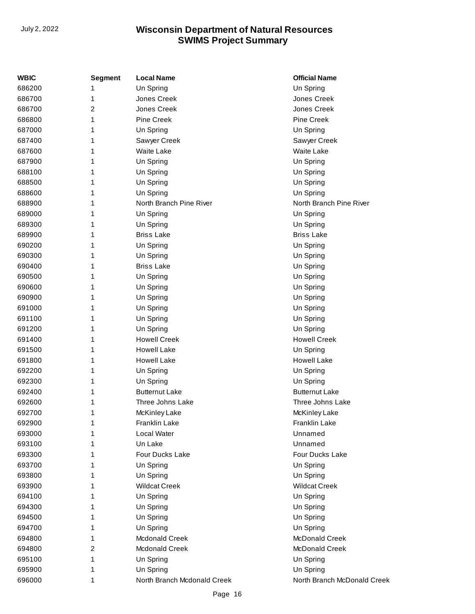| <b>WBIC</b> | <b>Segment</b> | <b>Local Name</b>           | <b>Official Name</b>        |
|-------------|----------------|-----------------------------|-----------------------------|
| 686200      |                | Un Spring                   | Un Spring                   |
| 686700      | 1              | Jones Creek                 | Jones Creek                 |
| 686700      | 2              | Jones Creek                 | Jones Creek                 |
| 686800      | 1              | <b>Pine Creek</b>           | <b>Pine Creek</b>           |
| 687000      | 1              | Un Spring                   | Un Spring                   |
| 687400      | 1              | Sawyer Creek                | Sawyer Creek                |
| 687600      | 1              | <b>Waite Lake</b>           | <b>Waite Lake</b>           |
| 687900      |                | Un Spring                   | Un Spring                   |
| 688100      |                | Un Spring                   | Un Spring                   |
| 688500      | 1              | Un Spring                   | Un Spring                   |
| 688600      | 1              | Un Spring                   | Un Spring                   |
| 688900      | 1              | North Branch Pine River     | North Branch Pine River     |
| 689000      | 1              | Un Spring                   | Un Spring                   |
| 689300      | 1              | Un Spring                   | Un Spring                   |
| 689900      | 1              | <b>Briss Lake</b>           | <b>Briss Lake</b>           |
| 690200      |                | Un Spring                   | Un Spring                   |
| 690300      |                | Un Spring                   | Un Spring                   |
| 690400      | 1              | <b>Briss Lake</b>           | Un Spring                   |
| 690500      | 1              | Un Spring                   | Un Spring                   |
| 690600      | 1              | Un Spring                   | Un Spring                   |
| 690900      | 1              | Un Spring                   | Un Spring                   |
| 691000      | 1              | Un Spring                   | Un Spring                   |
| 691100      | 1              | Un Spring                   | Un Spring                   |
| 691200      |                | Un Spring                   | Un Spring                   |
| 691400      |                | <b>Howell Creek</b>         | <b>Howell Creek</b>         |
| 691500      | 1              | <b>Howell Lake</b>          | Un Spring                   |
| 691800      | 1              | <b>Howell Lake</b>          | <b>Howell Lake</b>          |
| 692200      | 1              | Un Spring                   | Un Spring                   |
| 692300      | 1              | Un Spring                   | Un Spring                   |
| 692400      |                | <b>Butternut Lake</b>       | <b>Butternut Lake</b>       |
| 692600      | 1              | Three Johns Lake            | Three Johns Lake            |
| 692700      | 1              | McKinley Lake               | McKinley Lake               |
| 692900      | 1              | Franklin Lake               | Franklin Lake               |
| 693000      | 1              | Local Water                 | Unnamed                     |
| 693100      | 1              | Un Lake                     | Unnamed                     |
| 693300      |                | Four Ducks Lake             | Four Ducks Lake             |
| 693700      |                | Un Spring                   | Un Spring                   |
| 693800      | 1              | Un Spring                   | Un Spring                   |
| 693900      | 1              | <b>Wildcat Creek</b>        | <b>Wildcat Creek</b>        |
| 694100      | 1              | Un Spring                   | Un Spring                   |
| 694300      | 1              | Un Spring                   | Un Spring                   |
| 694500      | 1              | Un Spring                   | Un Spring                   |
| 694700      | 1              | Un Spring                   | Un Spring                   |
| 694800      | 1              | Mcdonald Creek              | McDonald Creek              |
| 694800      | 2              | <b>Mcdonald Creek</b>       | McDonald Creek              |
| 695100      | 1              | Un Spring                   | Un Spring                   |
| 695900      | 1              | Un Spring                   | Un Spring                   |
| 696000      | 1              | North Branch Mcdonald Creek | North Branch McDonald Creek |
|             |                |                             |                             |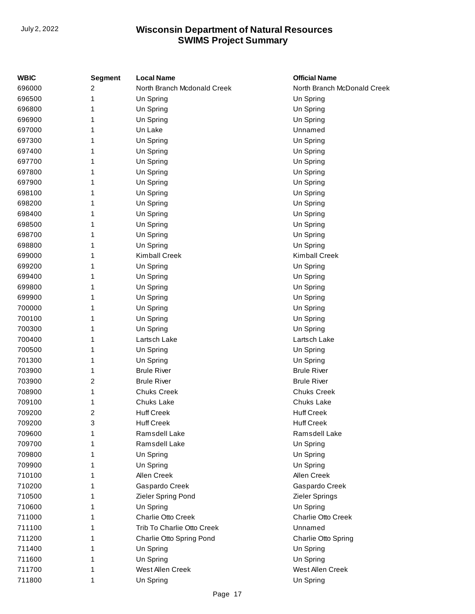| WBIC   | <b>Segment</b> | <b>Local Name</b>           | <b>Official Name</b>        |
|--------|----------------|-----------------------------|-----------------------------|
| 696000 | 2              | North Branch Mcdonald Creek | North Branch McDonald Creek |
| 696500 | 1              | Un Spring                   | Un Spring                   |
| 696800 | 1              | Un Spring                   | Un Spring                   |
| 696900 | 1              | Un Spring                   | Un Spring                   |
| 697000 | 1              | Un Lake                     | Unnamed                     |
| 697300 | 1              | Un Spring                   | Un Spring                   |
| 697400 | 1              | Un Spring                   | Un Spring                   |
| 697700 | 1              | Un Spring                   | Un Spring                   |
| 697800 | 1              | Un Spring                   | Un Spring                   |
| 697900 | 1              | Un Spring                   | Un Spring                   |
| 698100 | 1              | Un Spring                   | Un Spring                   |
| 698200 | 1              | Un Spring                   | Un Spring                   |
| 698400 | 1              | Un Spring                   | Un Spring                   |
| 698500 | 1              | Un Spring                   | Un Spring                   |
| 698700 | 1              | Un Spring                   | Un Spring                   |
| 698800 | 1              | Un Spring                   | Un Spring                   |
| 699000 | 1              | <b>Kimball Creek</b>        | <b>Kimball Creek</b>        |
| 699200 | 1              | Un Spring                   | Un Spring                   |
| 699400 | 1              | Un Spring                   | Un Spring                   |
| 699800 | 1              | Un Spring                   | Un Spring                   |
| 699900 | 1              | Un Spring                   | Un Spring                   |
| 700000 | 1              | Un Spring                   | Un Spring                   |
| 700100 |                | Un Spring                   | Un Spring                   |
| 700300 | 1              | Un Spring                   | Un Spring                   |
| 700400 | 1              | Lartsch Lake                | Lartsch Lake                |
| 700500 | 1              | Un Spring                   | Un Spring                   |
| 701300 | 1              | Un Spring                   | Un Spring                   |
| 703900 | 1              | <b>Brule River</b>          | <b>Brule River</b>          |
| 703900 | 2              | <b>Brule River</b>          | <b>Brule River</b>          |
| 708900 | 1              | <b>Chuks Creek</b>          | <b>Chuks Creek</b>          |
| 709100 | 1              | Chuks Lake                  | Chuks Lake                  |
| 709200 | 2              | <b>Huff Creek</b>           | <b>Huff Creek</b>           |
| 709200 | 3              | <b>Huff Creek</b>           | <b>Huff Creek</b>           |
| 709600 |                | Ramsdell Lake               | Ramsdell Lake               |
| 709700 |                | Ramsdell Lake               | Un Spring                   |
| 709800 |                | Un Spring                   | Un Spring                   |
| 709900 | 1              | Un Spring                   | Un Spring                   |
| 710100 | 1              | Allen Creek                 | Allen Creek                 |
| 710200 |                | Gaspardo Creek              | Gaspardo Creek              |
| 710500 | 1              | Zieler Spring Pond          | Zieler Springs              |
| 710600 | 1              | Un Spring                   | Un Spring                   |
| 711000 | 1              | Charlie Otto Creek          | Charlie Otto Creek          |
| 711100 |                | Trib To Charlie Otto Creek  | Unnamed                     |
| 711200 | 1              | Charlie Otto Spring Pond    | Charlie Otto Spring         |
| 711400 | 1              | Un Spring                   | Un Spring                   |
| 711600 | 1              | Un Spring                   | Un Spring                   |
| 711700 |                | West Allen Creek            | West Allen Creek            |
| 711800 | 1              | Un Spring                   | Un Spring                   |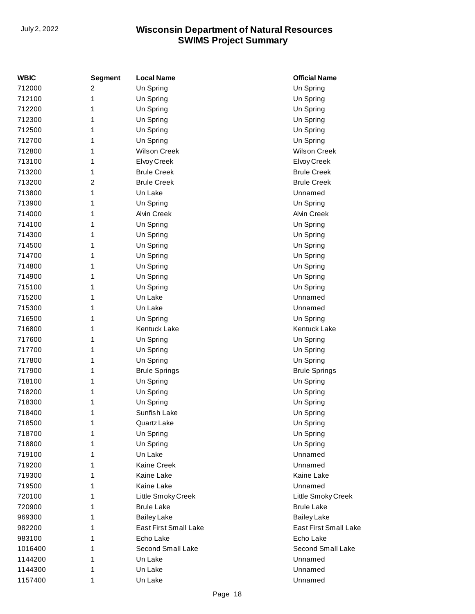| WBIC    | <b>Segment</b>          | <b>Local Name</b>     | <b>Official Name</b>  |
|---------|-------------------------|-----------------------|-----------------------|
| 712000  | 2                       | Un Spring             | Un Spring             |
| 712100  | 1                       | Un Spring             | Un Spring             |
| 712200  | 1                       | Un Spring             | Un Spring             |
| 712300  | 1                       | Un Spring             | Un Spring             |
| 712500  | 1                       | Un Spring             | Un Spring             |
| 712700  | 1                       | Un Spring             | Un Spring             |
| 712800  | 1                       | <b>Wilson Creek</b>   | <b>Wilson Creek</b>   |
| 713100  | 1                       | Elvoy Creek           | Elvoy Creek           |
| 713200  | 1                       | <b>Brule Creek</b>    | <b>Brule Creek</b>    |
| 713200  | $\overline{\mathbf{c}}$ | <b>Brule Creek</b>    | <b>Brule Creek</b>    |
| 713800  | 1                       | Un Lake               | Unnamed               |
| 713900  | 1                       | Un Spring             | Un Spring             |
| 714000  | 1                       | Alvin Creek           | <b>Alvin Creek</b>    |
| 714100  | 1                       | Un Spring             | Un Spring             |
| 714300  | 1                       | Un Spring             | Un Spring             |
| 714500  | 1                       | Un Spring             | Un Spring             |
| 714700  | 1                       | Un Spring             | Un Spring             |
| 714800  | 1                       | Un Spring             | Un Spring             |
| 714900  | 1                       | Un Spring             | Un Spring             |
| 715100  | 1                       | Un Spring             | Un Spring             |
| 715200  | 1                       | Un Lake               | Unnamed               |
| 715300  | 1                       | Un Lake               | Unnamed               |
| 716500  | 1                       | Un Spring             | Un Spring             |
| 716800  | 1                       | Kentuck Lake          | Kentuck Lake          |
| 717600  | 1                       | Un Spring             | Un Spring             |
| 717700  | 1                       | Un Spring             | Un Spring             |
| 717800  | 1                       | Un Spring             | Un Spring             |
| 717900  | 1                       | <b>Brule Springs</b>  | <b>Brule Springs</b>  |
| 718100  | 1                       | Un Spring             | Un Spring             |
| 718200  | 1                       | Un Spring             | Un Spring             |
| 718300  | 1                       | Un Spring             | Un Spring             |
| 718400  | 1                       | Sunfish Lake          | Un Spring             |
| 718500  | 1                       | Quartz Lake           | Un Spring             |
| 718700  | 1                       | Un Spring             | Un Spring             |
| 718800  | 1                       | Un Spring             | Un Spring             |
| 719100  | 1                       | Un Lake               | Unnamed               |
| 719200  | 1                       | Kaine Creek           | Unnamed               |
| 719300  | 1                       | Kaine Lake            | Kaine Lake            |
| 719500  | 1                       | Kaine Lake            | Unnamed               |
| 720100  | 1                       | Little Smoky Creek    | Little Smoky Creek    |
| 720900  | 1                       | <b>Brule Lake</b>     | <b>Brule Lake</b>     |
| 969300  | 1                       | <b>Bailey Lake</b>    | <b>Bailey Lake</b>    |
| 982200  | 1                       | East First Small Lake | East First Small Lake |
| 983100  | 1                       | Echo Lake             | Echo Lake             |
| 1016400 | 1                       | Second Small Lake     | Second Small Lake     |
| 1144200 | 1                       | Un Lake               | Unnamed               |
| 1144300 | 1                       | Un Lake               | Unnamed               |
| 1157400 | 1                       | Un Lake               | Unnamed               |
|         |                         |                       |                       |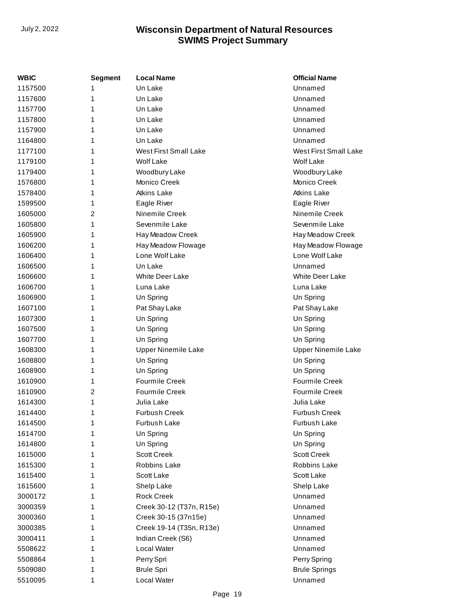| WBIC    | Segment | <b>Local Name</b>            | <b>Official Name</b>       |
|---------|---------|------------------------------|----------------------------|
| 1157500 | 1       | Un Lake                      | Unnamed                    |
| 1157600 | 1       | Un Lake                      | Unnamed                    |
| 1157700 | 1       | Un Lake                      | Unnamed                    |
| 1157800 | 1       | Un Lake                      | Unnamed                    |
| 1157900 | 1       | Un Lake                      | Unnamed                    |
| 1164800 | 1       | Un Lake                      | Unnamed                    |
| 1177100 | 1       | <b>West First Small Lake</b> | West First Small Lake      |
| 1179100 | 1       | <b>Wolf Lake</b>             | <b>Wolf Lake</b>           |
| 1179400 | 1       | Woodbury Lake                | Woodbury Lake              |
| 1576800 | 1       | Monico Creek                 | Monico Creek               |
| 1578400 | 1       | Atkins Lake                  | <b>Atkins Lake</b>         |
| 1599500 | 1       | Eagle River                  | Eagle River                |
| 1605000 | 2       | Ninemile Creek               | Ninemile Creek             |
| 1605800 | 1       | Sevenmile Lake               | Sevenmile Lake             |
| 1605900 | 1       | Hay Meadow Creek             | Hay Meadow Creek           |
| 1606200 | 1       | Hay Meadow Flowage           | Hay Meadow Flowage         |
| 1606400 | 1       | Lone Wolf Lake               | Lone Wolf Lake             |
| 1606500 | 1       | Un Lake                      | Unnamed                    |
| 1606600 | 1       | <b>White Deer Lake</b>       | <b>White Deer Lake</b>     |
| 1606700 | 1       | Luna Lake                    | Luna Lake                  |
| 1606900 | 1       | Un Spring                    | Un Spring                  |
| 1607100 | 1       | Pat Shay Lake                | Pat Shay Lake              |
| 1607300 | 1       | Un Spring                    | Un Spring                  |
| 1607500 | 1       | Un Spring                    | Un Spring                  |
| 1607700 | 1       | Un Spring                    | Un Spring                  |
| 1608300 | 1       | <b>Upper Ninemile Lake</b>   | <b>Upper Ninemile Lake</b> |
| 1608800 | 1       | Un Spring                    | Un Spring                  |
| 1608900 | 1       | Un Spring                    | Un Spring                  |
| 1610900 | 1       | <b>Fourmile Creek</b>        | <b>Fourmile Creek</b>      |
| 1610900 | 2       | <b>Fourmile Creek</b>        | <b>Fourmile Creek</b>      |
| 1614300 | 1       | Julia Lake                   | Julia Lake                 |
| 1614400 | 1       | <b>Furbush Creek</b>         | <b>Furbush Creek</b>       |
| 1614500 | 1       | Furbush Lake                 | Furbush Lake               |
| 1614700 | 1       | Un Spring                    | Un Spring                  |
| 1614800 | 1       | Un Spring                    | Un Spring                  |
| 1615000 | 1       | <b>Scott Creek</b>           | <b>Scott Creek</b>         |
| 1615300 | 1       | Robbins Lake                 | Robbins Lake               |
| 1615400 | 1       | Scott Lake                   | Scott Lake                 |
| 1615600 | 1       | Shelp Lake                   | Shelp Lake                 |
| 3000172 | 1       | <b>Rock Creek</b>            | Unnamed                    |
| 3000359 | 1       | Creek 30-12 (T37n, R15e)     | Unnamed                    |
| 3000360 | 1       | Creek 30-15 (37n15e)         | Unnamed                    |
| 3000385 | 1       | Creek 19-14 (T35n, R13e)     | Unnamed                    |
| 3000411 | 1       | Indian Creek (S6)            | Unnamed                    |
| 5508622 | 1       | Local Water                  | Unnamed                    |
| 5508864 | 1       | Perry Spri                   | Perry Spring               |
| 5509080 | 1       | <b>Brule Spri</b>            | <b>Brule Springs</b>       |
| 5510095 | 1       | Local Water                  | Unnamed                    |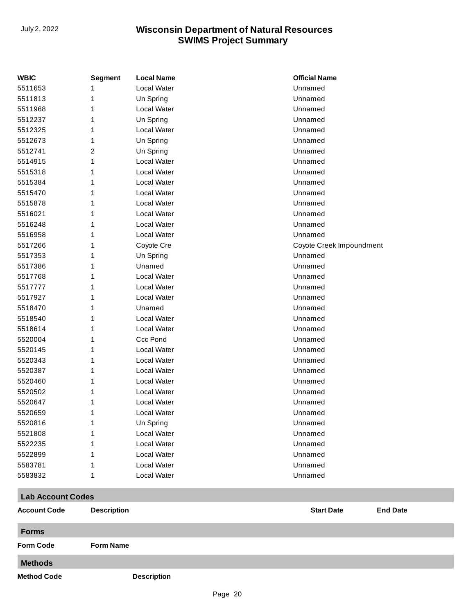| <b>WBIC</b>              | Segment            | <b>Local Name</b>  | <b>Official Name</b>     |                 |
|--------------------------|--------------------|--------------------|--------------------------|-----------------|
| 5511653                  | 1                  | Local Water        | Unnamed                  |                 |
| 5511813                  | 1                  | Un Spring          | Unnamed                  |                 |
| 5511968                  | 1                  | Local Water        | Unnamed                  |                 |
| 5512237                  | 1                  | Un Spring          | Unnamed                  |                 |
| 5512325                  | 1                  | Local Water        | Unnamed                  |                 |
| 5512673                  | 1                  | Un Spring          | Unnamed                  |                 |
| 5512741                  | 2                  | Un Spring          | Unnamed                  |                 |
| 5514915                  | 1                  | Local Water        | Unnamed                  |                 |
| 5515318                  | 1                  | Local Water        | Unnamed                  |                 |
| 5515384                  | 1                  | Local Water        | Unnamed                  |                 |
| 5515470                  | 1                  | Local Water        | Unnamed                  |                 |
| 5515878                  | 1                  | Local Water        | Unnamed                  |                 |
| 5516021                  | 1                  | Local Water        | Unnamed                  |                 |
| 5516248                  | 1                  | Local Water        | Unnamed                  |                 |
| 5516958                  | 1                  | Local Water        | Unnamed                  |                 |
| 5517266                  | 1                  | Coyote Cre         | Coyote Creek Impoundment |                 |
| 5517353                  | 1                  | Un Spring          | Unnamed                  |                 |
| 5517386                  | 1                  | Unamed             | Unnamed                  |                 |
| 5517768                  | 1                  | Local Water        | Unnamed                  |                 |
| 5517777                  | 1                  | Local Water        | Unnamed                  |                 |
| 5517927                  | 1                  | Local Water        | Unnamed                  |                 |
| 5518470                  | 1                  | Unamed             | Unnamed                  |                 |
| 5518540                  | 1                  | Local Water        | Unnamed                  |                 |
| 5518614                  | 1                  | Local Water        | Unnamed                  |                 |
| 5520004                  | 1                  | Ccc Pond           | Unnamed                  |                 |
| 5520145                  | 1                  | Local Water        | Unnamed                  |                 |
| 5520343                  | 1                  | Local Water        | Unnamed                  |                 |
| 5520387                  | 1                  | Local Water        | Unnamed                  |                 |
| 5520460                  | 1                  | Local Water        | Unnamed                  |                 |
| 5520502                  | 1                  | Local Water        | Unnamed                  |                 |
| 5520647                  | 1                  | Local Water        | Unnamed                  |                 |
| 5520659                  | 1                  | Local Water        | Unnamed                  |                 |
| 5520816                  | 1                  | Un Spring          | Unnamed                  |                 |
| 5521808                  |                    | Local Water        | Unnamed                  |                 |
| 5522235                  |                    | Local Water        | Unnamed                  |                 |
| 5522899                  | 1                  | Local Water        | Unnamed                  |                 |
| 5583781                  | 1                  | <b>Local Water</b> | Unnamed                  |                 |
| 5583832                  | 1                  | Local Water        | Unnamed                  |                 |
| <b>Lab Account Codes</b> |                    |                    |                          |                 |
| <b>Account Code</b>      | <b>Description</b> |                    | <b>Start Date</b>        | <b>End Date</b> |
| <b>Forms</b>             |                    |                    |                          |                 |

**Form Code Form Name**

**Methods**